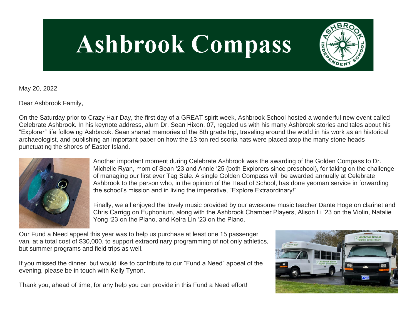# **Ashbrook Compass**



May 20, 2022

Dear Ashbrook Family,

On the Saturday prior to Crazy Hair Day, the first day of a GREAT spirit week, Ashbrook School hosted a wonderful new event called Celebrate Ashbrook. In his keynote address, alum Dr. Sean Hixon, 07, regaled us with his many Ashbrook stories and tales about his "Explorer" life following Ashbrook. Sean shared memories of the 8th grade trip, traveling around the world in his work as an historical archaeologist, and publishing an important paper on how the 13-ton red scoria hats were placed atop the many stone heads punctuating the shores of Easter Island.



Another important moment during Celebrate Ashbrook was the awarding of the Golden Compass to Dr. Michelle Ryan, mom of Sean '23 and Annie '25 (both Explorers since preschool), for taking on the challenge of managing our first ever Tag Sale. A single Golden Compass will be awarded annually at Celebrate Ashbrook to the person who, in the opinion of the Head of School, has done yeoman service in forwarding the school's mission and in living the imperative, "Explore Extraordinary!"

Finally, we all enjoyed the lovely music provided by our awesome music teacher Dante Hoge on clarinet and Chris Carrigg on Euphonium, along with the Ashbrook Chamber Players, Alison Li '23 on the Violin, Natalie Yong '23 on the Piano, and Keira Lin '23 on the Piano.

Our Fund a Need appeal this year was to help us purchase at least one 15 passenger van, at a total cost of \$30,000, to support extraordinary programming of not only athletics, but summer programs and field trips as well.

If you missed the dinner, but would like to contribute to our "Fund a Need" appeal of the evening, please be in touch with Kelly Tynon.

Thank you, ahead of time, for any help you can provide in this Fund a Need effort!

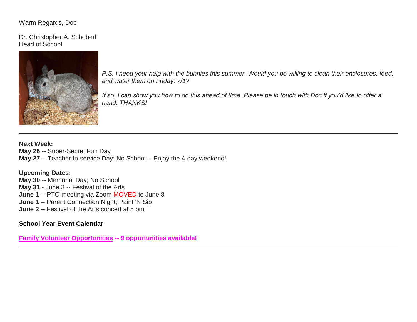## Warm Regards, Doc

Dr. Christopher A. Schoberl Head of School



*P.S. I need your help with the bunnies this summer. Would you be willing to clean their enclosures, feed, and water them on Friday, 7/1?*

*If so, I can show you how to do this ahead of time. Please be in touch with Doc if you'd like to offer a hand. THANKS!*

**Next Week: May 26** -- Super-Secret Fun Day **May 27** -- Teacher In-service Day; No School -- Enjoy the 4-day weekend!

# **Upcoming Dates:**

**May 30** -- Memorial Day; No School **May 31** - June 3 -- Festival of the Arts **June 1 --** PTO meeting via Zoom MOVED to June 8 **June 1** -- Parent Connection Night; Paint 'N Sip **June 2** -- Festival of the Arts concert at 5 pm

# **[School Year Event Calendar](http://link.mystudentsprogress.com/ls/click?upn=n7jYKe39nC4PrVAw2BzaOolgU5XUleaJ61qfvNJxTW3uoi8RFzNYUfSc1qXdqajA34djZWrxIBJBxzp2whbybvqIYp3dDOkCDgKesziBdCm1u7J5UB6bwQicng-2BhFj8jm5vDG0tBEB0sO-2FO3RXilW-2Fyp9W-2FiOEy5z5Ly7SL9uA5fNXWlhw6YU3GHHA8lAxIkH010_1PndbFfBoQGSZbxwXHHEexw3B2F0fG-2BUmuXm6a-2BX-2BztzRWinYGK2xaF9ROBgSWJWfreDQGxiyZ0h69di7Syj9fcpgwIvmWQBKKZQHgKqtppspg0ZPr4ahy6hRngtv3bi4QHv-2FKAdqsmCkAlpv8IDEVifrYE7bVMnEROZAlWzpmuj0qmvC62YynwbkIpPcWEfEjF19n-2BCtg86ukOp3JFYRKByAJJpA3F5rO4SwrPCtxt4A3Cs8gkX3gx5gEXJhAtpUa-2F3AnwPS3awNcj-2Fpx0RvWyHc6nJEoAzHSPNsPnbdap5Y17iRw5GVVPzEtiDzjnlJbu5fhuzvk-2BbWtD5VGboHwKrLIyE5h9OF5YFB4DlYgmNXVTWdONq4uj9d-2Fs7-2BFdPBZyIx8P-2F-2FPLA8KZ8jweEA4Isy4Lj74G4ccYSBdx1YFV4pYEihiQOLQK-2FmnSt2tW9)**

**[Family Volunteer Opportunities](http://link.mystudentsprogress.com/ls/click?upn=VpBe6Z9t6RkEC4qAoQCerkRqVNRJCi4SE2bZPjoSvlxSlLFpfnUYhuutAutUGnBh84nj-2BJvhJlx1K1dJMDDqBY1qLZ1O0nCcHebienBZj-2BKxsXBin-2FugM50Q-2FqN8cLG3Urd1ZQzGcMWtkFleXRzacA-3D-3Daz6j_1PndbFfBoQGSZbxwXHHEexw3B2F0fG-2BUmuXm6a-2BX-2BztzRWinYGK2xaF9ROBgSWJWfreDQGxiyZ0h69di7Syj9e0xc4bGCKqnIFMT-2BwPQz5M81bKNfLGh8Ovb8ZdRC13vnhyHC3RgPFD00O4tmrqTdmDU41UbnnJovhJ-2B5W-2FpKd0pyroYdDr1ZRGSWNHmMMdPh01Y0vsvYLVCfsuOELoW-2FWkQYb5-2BLLsRqdnkkA13mQnkGqLNUdN8uPbuqB1psok6CChm4kk44zOvAURYoEtTsAMIncJSls7JeKsk3CQcwIYmmshGKR8ciXMCm0ItJdr-2F40p2fZ-2Bvg1cVRs-2BElo4acsvnUn-2FrwgbzzfhTiGy2ZOuM0ayYasK1TmjC1x9yVzR4K6NgwEPXJowxF6onC01MNfZtkCiZV9SUmCBYaGoyZLyiwz9Hii5Rv10QdSI1Kjqc) -- 9 opportunities available!**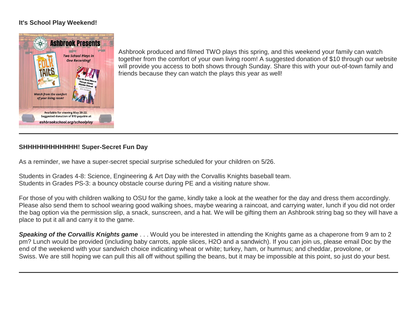# **It's School Play Weekend!**



Ashbrook produced and filmed TWO plays this spring, and this weekend your family can watch together from the comfort of your own living room! A suggested donation of \$10 through our website will provide you access to both shows through Sunday. Share this with your out-of-town family and friends because they can watch the plays this year as well!

# **SHHHHHHHHHHHH! Super-Secret Fun Day**

As a reminder, we have a super-secret special surprise scheduled for your children on 5/26.

Students in Grades 4-8: Science, Engineering & Art Day with the Corvallis Knights baseball team. Students in Grades PS-3: a bouncy obstacle course during PE and a visiting nature show.

For those of you with children walking to OSU for the game, kindly take a look at the weather for the day and dress them accordingly. Please also send them to school wearing good walking shoes, maybe wearing a raincoat, and carrying water, lunch if you did not order the bag option via the permission slip, a snack, sunscreen, and a hat. We will be gifting them an Ashbrook string bag so they will have a place to put it all and carry it to the game.

*Speaking of the Corvallis Knights game* . . . Would you be interested in attending the Knights game as a chaperone from 9 am to 2 pm? Lunch would be provided (including baby carrots, apple slices, H2O and a sandwich). If you can join us, please email Doc by the end of the weekend with your sandwich choice indicating wheat or white; turkey, ham, or hummus; and cheddar, provolone, or Swiss. We are still hoping we can pull this all off without spilling the beans, but it may be impossible at this point, so just do your best.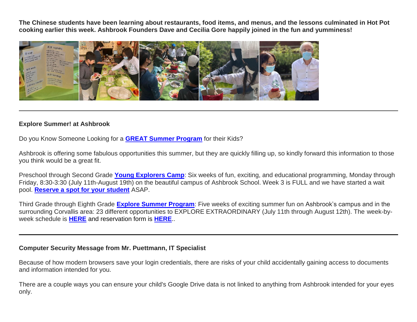**The Chinese students have been learning about restaurants, food items, and menus, and the lessons culminated in Hot Pot cooking earlier this week. Ashbrook Founders Dave and Cecilia Gore happily joined in the fun and yumminess!**



### **Explore Summer! at Ashbrook**

Do you Know Someone Looking for a **[GREAT Summer Program](http://link.mystudentsprogress.com/ls/click?upn=5XDbAd9r0ovG7GZusFBG8PaUF78UqItDelTGdwk7Y5Z6snw4T29-2Bxfvechik02zNNjHskFAbqBwE5Be3mTfInPLSoC-2BecC4phoAA3XU5fdU-3Drhgn_1PndbFfBoQGSZbxwXHHEexw3B2F0fG-2BUmuXm6a-2BX-2BztzRWinYGK2xaF9ROBgSWJWfreDQGxiyZ0h69di7Syj9XZP3xxc67qYfCvG1H5ScLxCQOPHN3K16TziScubmaGdcbNFV0HOmfC0Vbi3T0-2B2zCys1jtggau-2Fx8tGkFNRhBmAqSmuY0277L2QElOVd72bSIrSX9xt0ESae-2F0pANOOXxmnKnQHFEEBHubm4dlaGqNhowBFMhBfFH1fw5JXeqwnYN24lM4-2BarZgrGLCTESAg3eaNyf8joOasY-2FoeGpBuxJ29rMWPBz8bZyrupEXSaVgrr-2BE79rbD6Q3WZZ1LtqAED-2BkM0RQ-2FT4az7fksu8WpkXFGNrqPWNnVOli8416jWgM4-2FclHpM0xDCgOA4P2wn2uCA-2FHTQkOSxuOT9zl713O9lwEPTvjNdxy-2B-2FebgdBrFtf)** for their Kids?

Ashbrook is offering some fabulous opportunities this summer, but they are quickly filling up, so kindly forward this information to those you think would be a great fit.

Preschool through Second Grade **[Young Explorers Camp](http://link.mystudentsprogress.com/ls/click?upn=VpBe6Z9t6RkEC4qAoQCeri-2FFFh7llDqKppeMq4GAyjRWQxckQw26M-2Bv6Io9sYjjzXOIN5ZIds9Ob3TQmfoH2ncGNLLBWd0pMWPKzPhseZReJGUsRjtp2PzuvOl7hWImQlb707JBk4fsYMmls344zZg-3D-3DqRaQ_1PndbFfBoQGSZbxwXHHEexw3B2F0fG-2BUmuXm6a-2BX-2BztzRWinYGK2xaF9ROBgSWJWfreDQGxiyZ0h69di7Syj9YfMPD1XDXObJMivfxcLgaz2h3EGO-2FO6O9v-2FJ6EsmFflaV7fMkIJ5ZnZKaeyZaeV5ltruZy4MH6yKrRvrBzDe8R1HSJP4BejW3YBg4vbrXWIWTx0aCoW7p4ExmNOhQFVryGVrPVJKn9yrdfvC6r-2ByID-2Bkw2QOzKktEvoL6BNDFF4RQbE19fqgCU906EjJNcP-2BN-2BKy7vSk6xpZU7R-2FLeF4fJJ-2FD0UuffweTJcPUHxyzNEeXRAJbUpM4saW5jhW8-2FOoHv7C9GmCEU-2Bl9VQi650MmDJA2tJtd93u6obm08qTQ0tpFK2N7pFux7yCzmGUeMdV3VIdVaeS1zwXUMqAG5vG5-2BAMFlUUfcYBvDKa4qAaTvT)**: Six weeks of fun, exciting, and educational programming, Monday through Friday, 8:30-3:30 (July 11th-August 19th) on the beautiful campus of Ashbrook School. Week 3 is FULL and we have started a wait pool. **[Reserve a spot for your student](http://link.mystudentsprogress.com/ls/click?upn=XkPBlp9GNU3xVxREosAX9ZloBmuSz7rYauHLv2bAezXJatPawtKENVoaHu28nHndWdkV_1PndbFfBoQGSZbxwXHHEexw3B2F0fG-2BUmuXm6a-2BX-2BztzRWinYGK2xaF9ROBgSWJWfreDQGxiyZ0h69di7Syj9XQpqyA-2B6Zd-2Fmhtl2oI128YYjEvE2HsZvkZZmzmWbPWdX3Zj7FXk5uNBiRB-2B9yZ0txwoVm-2BVnGhiRiavcBjADAhkkWmNdssTns0fQJZWLuAXytkOvkwyQEIQoMMihsZ32ElQSrRGC3T1rhbPH1-2B77T4XUQGWK70XLu-2FWvar7Wdquq76T-2BiWToEObmveUiBZaP1lZQ-2F7UKzyLK69ziDhcKXewfDPCt7C9C1KuDXNZbzImzCARbFMnhasaGa22q1gwqQutvTcqMgqtpz2Nw-2Bqx9O-2FgeOnZIQ-2BrDB6aIHBQF03h8NWqFO0kExCrttSfxh6rO1Efhqs5ekVdG0Rr8u232e9eNlwEH76pBYmMghGmnACl)** ASAP.

Third Grade through Eighth Grade **[Explore Summer Program](http://link.mystudentsprogress.com/ls/click?upn=VpBe6Z9t6RkEC4qAoQCeri-2FFFh7llDqKppeMq4GAyjRWQxckQw26M-2Bv6Io9sYjjzWHEwVegbryXLLRIeH6nKxK4bIPKulG9eqNoq4Y35z3Cg4TqlJ5SeoEFYuRuX2LYuerreJGvCS5ZfISkE-2BnjMEw-3D-3D0Yvk_1PndbFfBoQGSZbxwXHHEexw3B2F0fG-2BUmuXm6a-2BX-2BztzRWinYGK2xaF9ROBgSWJWfreDQGxiyZ0h69di7Syj9Q0oxMzf9pTF4rKLL2y-2FvTBeX4YpBAUMTs11SE2STCbmWwXiLrAka7Hzv9CxkzmUGBiMizWKNiyTIL0F0yBYsyVvclkMfanxL5B3odqFOGwj5VOONRqVdDIn0STuVxHUtiePS0F96Akvb7PZg2S1ZwMArnCeIZAaSUt-2B-2BerVMlLGp4-2BbpXh7KvfmTM6c8gsrGBg-2BAZrEJPsNGCtqkuP19-2BlmRTFixoAY1Dndhc9QOfMD53CbPSP7b3iqAXndO3offYm8X1CN8s4KIx86X7IehsBQRQDYv-2Bfu-2FgTaWx6xYRRX6EXHG0g43TnxvHayWs7Pp48KB5WDDEm-2BbJRMnA3Av4Cg7PkFHkW4W67zClu901Pn)**: Five weeks of exciting summer fun on Ashbrook's campus and in the surrounding Corvallis area: 23 different opportunities to EXPLORE EXTRAORDINARY (July 11th through August 12th). The week-byweek schedule is **[HERE](http://link.mystudentsprogress.com/ls/click?upn=5XDbAd9r0ovG7GZusFBG8PaUF78UqItDelTGdwk7Y5Z6snw4T29-2Bxfvechik02zNNjHskFAbqBwE5Be3mTfInPLSoC-2BecC4phoAA3XU5fdU-3Dwx5f_1PndbFfBoQGSZbxwXHHEexw3B2F0fG-2BUmuXm6a-2BX-2BztzRWinYGK2xaF9ROBgSWJWfreDQGxiyZ0h69di7Syj9SnOST0iEaLYc1ZOqZTMhf7TKb4PX5hCqRZ2ptqqNtHhnAGtHuMIyqvOhA2z7ZH394RbLLSrzrP-2FuFyDiHW5SfAcK5eKd-2BMKMfEp5zXy70m7nSQj-2FTA8iYwB3BvW2fzfzgwgXw0mdGz-2FfnkMnsagTt02QvQIpiG4fblkUfjFUAkewlaDUFP-2BAn9pZOyGsOS3bMSzZKRLNYN1xJXQbLi-2BlL0IJJk-2BZ1AbeSSN6VWublP1W-2FQLhXsb1iik71s241Z869VaNpKYTRymT-2FMxAGV0j-2FjALamNG-2FV7vP-2BgCdvMdU2J-2BEv3aMnHX0r40ekduNmjSEGpb-2F6oL9iKL6Ywcsvyzt22YfdbEqeNfLo-2BduHXpX6m)** and reservation form is **[HERE](http://link.mystudentsprogress.com/ls/click?upn=XkPBlp9GNU3xVxREosAX9dladwQASOh5udy7m-2FJLcqEsmMBjqEfnwC5eYHIt7vuGo5P4_1PndbFfBoQGSZbxwXHHEexw3B2F0fG-2BUmuXm6a-2BX-2BztzRWinYGK2xaF9ROBgSWJWfreDQGxiyZ0h69di7Syj9Zm0mvI4bc4-2FkMEphH-2B9dSYV9XNoOIg0QOHmh5SJfn-2Bzfq5yFWLbxB6E9AryIn1Nt7EkAcS8zLV21SeHjb3VePlnusjTukTE5esUFPDnmTMDne58MQJzdqP1EjPjvSLqOBW-2B8as5smzkI8N6KKu6VdAdWmLvGy9gCNO1sToqmBZskxH6fNVZYjuM42mQ7kqPgVmgPl2Ssox-2Btm0oC8Ot9-2FXsh6RAEaqmrU7yC2WCO6HESeK66pkjVbuIKngPTQlp0ofW25h-2Bt0It07QiocfeR86Qbo8KIm3Qp-2Fs0T-2FOFaANZSjhDj2pFIhGjPUjvN2vt9WNJ6a62mMlTlngaRBOOvTWeGIjXPl6bFvmzQ-2Fnr8LEe)**..

#### **Computer Security Message from Mr. Puettmann, IT Specialist**

Because of how modern browsers save your login credentials, there are risks of your child accidentally gaining access to documents and information intended for you.

There are a couple ways you can ensure your child's Google Drive data is not linked to anything from Ashbrook intended for your eyes only.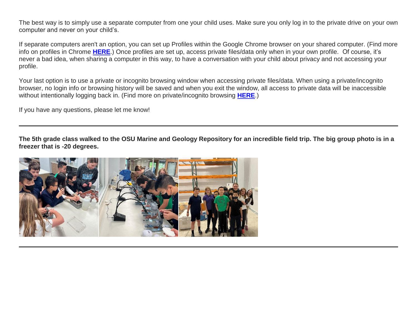The best way is to simply use a separate computer from one your child uses. Make sure you only log in to the private drive on your own computer and never on your child's.

If separate computers aren't an option, you can set up Profiles within the Google Chrome browser on your shared computer. (Find more info on profiles in Chrome **[HERE](http://link.mystudentsprogress.com/ls/click?upn=t3AI3kjK1Pyk9qPfHnOahelBVVSIlRAa3GeSLMbkINmgHr3guxrPuqfp-2Bh-2FJW4nCZ4g8Gi3XkGXC-2FKATZbsSvuMVTj1jllPfbrIA9wF4VhU4Wc08gVpti2ARvzQneV7L-2BIjTvlCviPrMDcSWA7dPPSX2XzjD81gUptKYZpIagrcTzJVqRNZ3uGDK-2BmWSaC8gzePTDUjtEs3eucNcTugE76s6tQzd2fJmKQwgUDbuRfmZOyHPyaqMwxEgBgIn6e72j93qmXKJU-2BeFh578REqqC72Uxv9CwWLuujreYh-2F8-2BdZ1aEPv92cdCglEThrVMHTYVDIWWVVZyRiKk2V-2B6ia12kS5xrf6582roEIsX4Uxx4M08FuKcePVz-2BsYqg-2BjcSSI15SBqogKk6Mo3-2FrzzA2IaByH-2Fu1Xw2YZnx7ebfNxiOrjVij-2B-2F4fJJlAzTkB1nADEXZofV0vhnKwclgbwytq432m0nrBiPf0YgOrIfLI9su4BfOcOpqfqaVU7vK5th-2FCzeO-2Fzp9G6-2FLdQOLBtz0uZqX2N-2FMA6YsIlofz7tA6nWebXl9Mx-2Fet6z-2FAetrqfz77FVgv2gHugCOfUBme0oxULDl5-2F-2F-2FeBXe5ynTlLjbwBkcmNqeWTzPh0NHL2nEA1PnQrR6UD_1PndbFfBoQGSZbxwXHHEexw3B2F0fG-2BUmuXm6a-2BX-2BztzRWinYGK2xaF9ROBgSWJWfreDQGxiyZ0h69di7Syj9bdahxwDVj3vakCwcbzc98xM16GVV-2BOzHOUDVp2vSDmz8HQqj2q1FAtcdNVatMMHpjPFiMvcaYfDossz7dU9uw-2BgJDDShu6aqtQGwHFFc1UJo4-2FNLZrJGGgE-2FFoP5Z-2Fe2T1bNw7QwNjIESkB4u1-2F1bYHqTBSve29LCosBHSTw6tWsHVG-2FEAJNekhrltkODT6D1rQkwi5VlOfmaOy-2BulOBsNTUfCzXs5cj5QtwNcrAZx3MpqfQ2yUaYVdR4lSP1xMXE9OTBLClEPqHIW6koKMplMbL4qfEFHafgnzLTWfZ6330L6dsUCUkz-2FSJLws4c8uVOnzF81ZNMy8z8On6-2BEj9jCTfzISJTooUGA8oIWAHPda)**.) Once profiles are set up, access private files/data only when in your own profile. Of course, it's never a bad idea, when sharing a computer in this way, to have a conversation with your child about privacy and not accessing your profile.

Your last option is to use a private or incognito browsing window when accessing private files/data. When using a private/incognito browser, no login info or browsing history will be saved and when you exit the window, all access to private data will be inaccessible without intentionally logging back in. (Find more on private/incognito browsing **[HERE](http://link.mystudentsprogress.com/ls/click?upn=t3AI3kjK1Pyk9qPfHnOahelBVVSIlRAa3GeSLMbkINmgHr3guxrPuqfp-2Bh-2FJW4nCZ4g8Gi3XkGXC-2FKATZbsSvl8oblABHDUqNKCGMiMkC1JBYmnbDVnO-2BqdDRS8Xttgt-2BqtTd8FKcjM3eX3wT1tMi6OMCHoYbVxU6b9E2d9PeYxkCHUyNS4DUg9CSodNMK-2Biw2UlhziUEXlfoUw-2Fono5SuRMYf8ft56X6Kn3cJ5ECMgdDPFWD3rpJIeh-2FB10JQEXCUlbif1aSR1RMNVOiU8Dtw39-2BiQIricLEOlGNlPOkwcOOd2peK3-2FwIfOka7smXO2-2B4FX3eyBilnnM1kO-2FmtUe-2FE5OXKMlxW7V-2BgztlehpnRMAWrE8MzfTYuL2nAAOdEVvj4jweAKxRQpWdKImgW10pIDfPQO-2FF7hDE0K2ft-2FtnPt-2B6mULimbdzQtQzqMeisDH1fV-2B6qodVjgxIIbx2A6KqQIwrPRU19nz9BPb-2FJrJXitisvhhFlIGzTXhbfQoGURQDlSq2gSXrQgqW9dpXyk4fWfWm9aHlSxmpEMgG41a54vBOaFjm-2FL1FXWw0bAOHbDgxWWuCJftX3DrunOMDuaa2FAW3F8HUrvpOgV04mwYJWbzu-2B9NyIL5n0Z-2Fv7yj420MEYlYJXT5FXHBgI-2Fg-2FKR-2BcSt5O8tKDzMHJ7jJf2d4UA-3D2Jd0_1PndbFfBoQGSZbxwXHHEexw3B2F0fG-2BUmuXm6a-2BX-2BztzRWinYGK2xaF9ROBgSWJWfreDQGxiyZ0h69di7Syj9cYcMl7TwMCZl-2BPKvo1TwXdkC8GL6bX87fi8f7yMTjts3wKxBFWxWu29JtbOSvQ4igAdnHLQ3uQuF9D8u3uPhlEBxMNm4HIF-2FRFpkNVok1jqt0ah9EyORVMoseM-2FvY7YLphadUPvmpVF5IxCw8W-2FPhurhJwDy7-2F0QiXitix-2F4cwTgbIDZFOQtS2PlOEqb9NqamwF2cYbHJewILc66xyUgiom3LbI-2FZiaB8I4-2BsejBopvst3GHfs0w2mRx4RHk9SfjepVTLrxVidEEqqRTlRz-2FQ48P6L-2F8fnaW7guRZlBt8sDjUWghJyM0QLJmDhVEwhg1tRmnEka7FOJjibumgRUovfC69-2F3aPYveJF3johJetrO)**.)

If you have any questions, please let me know!

**The 5th grade class walked to the OSU Marine and Geology Repository for an incredible field trip. The big group photo is in a freezer that is -20 degrees.**

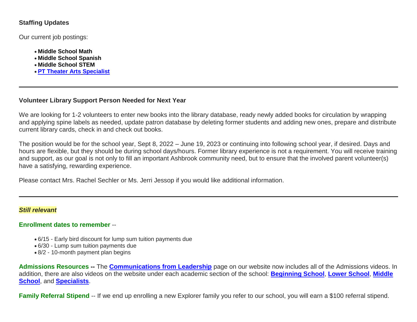# **Staffing Updates**

Our current job postings:

- **[Middle School Math](http://link.mystudentsprogress.com/ls/click?upn=t3AI3kjK1Pyk9qPfHnOahelBVVSIlRAa3GeSLMbkINmgHr3guxrPuqfp-2Bh-2FJW4nCZ4g8Gi3XkGXC-2FKATZbsSvh36U-2F2LOL8QthA4lUPWtTIN1GEYfFc-2BQews3-2BFAegm11eEIGHVP0MFYXOx7EvKLqvDAbNRxBvpIUhaRrdV2aIkzOyc4TSNuYwoshOUP28NZXhE-2BD7b8MAorEonftZAW6zB3s4NiB828Luv3a6FvUOKjaseffCmxcDduuLEbtw8PMHmqepxMLuoBf8pcI4fvBZ7xEElsZVj63lkNz5Do75qvE82qEkpLTB7A10uaXiAPFyAWe0KYPHXxHi2A6pQunzQ-2FLbDjy2pKImfvNjkpxpZJ3sj2yUOv2Lw5JsgEMRwRinQHadhqo3Yc0L6euop5Zjn337Tq7wj8-2FMV8RDNFLWUL8JufpGYfWZa6KLM0pS5yUp913iY7GJDKCROMadaP3MXHn18lZgy22WNp-2FqpRPx-2B6EONAUPb5-2FvicUZOWVljo8BklCINZ3esfjWyvvARB-2Bu7NUvTkuibQJnRibHzmvZLnecIDSjOZG0X0r1GkXTFpMT_a_1PndbFfBoQGSZbxwXHHEexw3B2F0fG-2BUmuXm6a-2BX-2BztzRWinYGK2xaF9ROBgSWJWfreDQGxiyZ0h69di7Syj9cICNXc-2Fnz8yLfNfDH8SmP9-2BJKzgdVu4xKj86V5xlyKfkyusJ-2BgK2RSWVcXyWPflWbKQDt2jtthXjhrVY2E0PP2BzX9H5zCtDbnlc2OyCxoaH0RPlaZrkJuqJ0ctPGFblZaq0QXnfFhuxPxnhG0-2FqNABdyGjWdcdjS8yphUG7U1e9B1IPKVkjbl-2BsV8XW6gIA2BjaNxCCg5LVO6B5Dg5eCpCekoBdyBKLkf8ZbZIfPT-2F9zEmx-2BWzJdHrzth6tPmiOYrqCKKTGxUlL8hlLmmfoXQp1TF0B5NaV6DkPtVNjXXz2wMTIW9o7-2FmkisEvO0FfHisSsZtgbG54oTIOhScZSFuwKvKEJy-2F0Gvz82AoSOMmG)**
- **[Middle School Spanish](http://link.mystudentsprogress.com/ls/click?upn=t3AI3kjK1Pyk9qPfHnOahelBVVSIlRAa3GeSLMbkINmgHr3guxrPuqfp-2Bh-2FJW4nCZ4g8Gi3XkGXC-2FKATZbsSvh36U-2F2LOL8QthA4lUPWtTIN1GEYfFc-2BQews3-2BFAegm11eEIGHVP0MFYXOx7EvKLqtL0BgJfixKU-2Bh695LEh9c-2FclElpbAAh70eX6T5MXDA-2BPqZg7rRLoQhWJ8zEQpcA-2BDeYVavf83W65-2FDYBWDOj-2B7T9EAeIasGBlAOnrFz7-2F1MFjX1DLZQvSQ-2BOLsD5ZRjPa-2FSBiGGoVHJo2SM12XLAIywi9dL8KsuN-2FDrcxNIO526xi0idj-2BL41SilYF1ZKLW1BbeGUZmfsYk3drZEbqJo53NGU9or-2Bp37GYihNtkBH-2Bu63IRZtl1gjlViWY3j0M6d-2BNFYv49VnkpgV7RyfWhbNN6-2BqLQPb2Z5pTKM1OnJU3SIeS2c0qL-2BtwawhtfRman1hPX8GHGuc03-2F-2FwCNEUsE4OVxAcgJJeS8oNfJYAxBSooxR5qh8VLNs3R1NOMaFx1Sszd-2BQ3L7U91qKaf0zd-2Bkn5EiSAK98q8Prcq7-2FqsQuEXmXZ8_1PndbFfBoQGSZbxwXHHEexw3B2F0fG-2BUmuXm6a-2BX-2BztzRWinYGK2xaF9ROBgSWJWfreDQGxiyZ0h69di7Syj9Q1p86osyahbQnzowD-2F-2F-2FxM2oSgB1-2B77kMXGPFUzdtZ5IJeJJRCrOMsOGYekhApv-2FC-2BNoaMqWdQk-2FQKftpe1AOA0lGj22M-2Bc2CHSoEVa-2FP-2BMN1xK1QH9FkordbJa7rHOEyWljD1KyhAuU7YpTuJaR4I-2BQZDJsvezOBwaPGAHkudkBpwsyFOSc-2Fei4ewwtbCf3bUscwi36fN3AJO9UIRoLXBSdB-2BD-2FVq0jOf0NyXno7GVWMl9uskmfzD0NSR-2Butcn4chK1pMBxcL802p8HV10uRJojs1HoPnDSXKN6ICstE7uNVpIXcALgJ0pwxwNZPCo-2BwMmtIUlHAWdnhhgVkUqiPTbAQhvphoSyWV2C-2FSI1ZAl)**
- **[Middle School STEM](http://link.mystudentsprogress.com/ls/click?upn=t3AI3kjK1Pyk9qPfHnOahelBVVSIlRAa3GeSLMbkINmgHr3guxrPuqfp-2Bh-2FJW4nCZ4g8Gi3XkGXC-2FKATZbsSvh36U-2F2LOL8QthA4lUPWtTIN1GEYfFc-2BQews3-2BFAegm11eEIGHVP0MFYXOx7EvKLqo4bT5XG3WfT3JFzE6LmShNJNpuyJy4WO5Nl0HYuKrHuksRFPyp2kqqhpExIjoZg-2BrvXeBxYLlW9lDQdxdelUIYdouoyaEPFni9SQY1Tt-2FQ49P6gqblQFgdc4dMaAFuUHE-2FNAjJgQlPLIim8jc4sJseWJkhkaTiED05e1YoZpWsTGO8ES-2F2HLffyEMwPGpLDdF7bujl-2FvWQEYc4TLEpfA7njx2wVV-2FbOM7vDlC2g2ZiW-2FGr95TvnW9KAHhXOCAuKdbRdCpkEehCkxbZstyACl0pK1na3hGQnJqaKGOHlU-2BURHxpD98SnFqFwllbiV7JGK7FK15RnyMvkDIJE7osme3F-2FzRm5Zdg79BMQgTg2v1Se4rVfNP-2BmbKF9cZfieODS0dA7kGKbbVabxstNxMhIQL5CLIAX23tojlIAOI74LnxM1y4M_1PndbFfBoQGSZbxwXHHEexw3B2F0fG-2BUmuXm6a-2BX-2BztzRWinYGK2xaF9ROBgSWJWfreDQGxiyZ0h69di7Syj9SIB8NUoZkQY90F-2BrocJvUGKHuue6NwJkhMXxshRhEMmbVdcJP-2FI94InRrjhKJbcPh6C9bf6qUfO70bNISdfMwPzJT5Px-2FFO6pYFNkL9ya0I3HWY5S1lmKjVHhDuYAoGtJKr3SuYvDlip9xnhBrJxajsoGfMrvYabZqlrNgV-2BP1bQHRP9YC-2FH2230-2BFKFFyiwlJSgzublymyFyqZ2QEluxSdsE-2Fsup9aa84hBOr-2F4FBaQZgyVizSk-2FVQEjM1HbgcLupXW5lUVCCx-2BfddN4S8TPAY7Eb7-2F1-2BkAtsjps-2B3SeQMABlsAqbV-2FwM5m-2BWjTGDK1fGHml-2FtS3lwsiNOXm0q0Eyx87lmsOhFUjIKDU4gMpm1)**
- **[PT Theater](http://link.mystudentsprogress.com/ls/click?upn=t3AI3kjK1Pyk9qPfHnOahelBVVSIlRAa3GeSLMbkINmgHr3guxrPuqfp-2Bh-2FJW4nCZ4g8Gi3XkGXC-2FKATZbsSvh36U-2F2LOL8QthA4lUPWtTIN1GEYfFc-2BQews3-2BFAegm11eEIGHVP0MFYXOx7EvKLquZMNeofhzegp8OfIxk1dtNsbo9bTaWAniDe5HszPOPAdgiDXKt6IqmVUrP1rIZGeiMDPxS7GCaZtHZhHBYhQomCkszeS7YJi-2BAh5pwR6OMMvg-2FVhqnzlhiBvG5xW2DKAnWKpO8s-2B8Gr1QahYhXBLmekgPvTqqBvmnPNZHqNgsC1t-2F-2B8VaKFeqynn4KVNNSwZXyaslXVQf3CvfOheCLvhZDJW3oY-2BNTh1uFRXJrHcUwg9fRNWXQZcsVgLKw2iqtGetk-2F1AIbPXp5c59DHO-2Fkub20hc13f9jWK-2FGPqhVyK62M62WXoXXVLpaITepSrBDDPTd2WTsUPnIAUnzaOI4wB0a-2FO2gYklkOtVYMTJ33r-2F3MytF-2BFuNumx-2FZBcK6meOroIjSVAbuawGP3IzA0JWlNTY-3DjwaN_1PndbFfBoQGSZbxwXHHEexw3B2F0fG-2BUmuXm6a-2BX-2BztzRWinYGK2xaF9ROBgSWJWfreDQGxiyZ0h69di7Syj9RjYFFdltBBNHECOdvLiIa5vglzhC3ZQWeQI0REmmbJ1abfRBSpCBOSZzcb1XCnrJY2RYNtaZQN5ddIfKHv-2FCvEtqKMKcZYMGsyQ9AZUS222DnKDo81arKK97Yjmn8MLKu0lqFkhsAEDKw8Yvi0phlEskMeAaMR5BUwJoGNcfCVNsPA-2FGaSDMjTmNxHMW2iJQPGTnZAMPaN8DQqLRYRXy39KFfBHnlR9wIV3rQfIhddA-2FOV3R3YYbwVgzwZboek5j9MlAEBGzQWt6ggG77rQYZwsAbSHJWYtDF6jlE4TSFIfYlrmN1-2BLwgCU5TP0wYFsaqKE3PbFiI-2BVh8l4z3zMIVTnxRLSg1aoQ6PzOyPZLO-2Bk) Arts Specialist**

# **Volunteer Library Support Person Needed for Next Year**

We are looking for 1-2 volunteers to enter new books into the library database, ready newly added books for circulation by wrapping and applying spine labels as needed, update patron database by deleting former students and adding new ones, prepare and distribute current library cards, check in and check out books.

The position would be for the school year, Sept 8, 2022 – June 19, 2023 or continuing into following school year, if desired. Days and hours are flexible, but they should be during school days/hours. Former library experience is not a requirement. You will receive training and support, as our goal is not only to fill an important Ashbrook community need, but to ensure that the involved parent volunteer(s) have a satisfying, rewarding experience.

Please contact Mrs. Rachel Sechler or Ms. Jerri Jessop if you would like additional information.

## *Still relevant*

## **Enrollment dates to remember** --

- 6/15 Early bird discount for lump sum tuition payments due
- 6/30 Lump sum tuition payments due
- 8/2 10-month payment plan begins

**Admissions Resources --** The **[Communications from Leadership](http://link.mystudentsprogress.com/ls/click?upn=5XDbAd9r0ovG7GZusFBG8PaUF78UqItDelTGdwk7Y5b5X9xo7Kc03q0-2BfN5d1czkM9clAxLHByegCe1URLdurQYW55yy5QMlhL-2B3GywnFUY-3Dhwtj_1PndbFfBoQGSZbxwXHHEexw3B2F0fG-2BUmuXm6a-2BX-2BztzRWinYGK2xaF9ROBgSWJWfreDQGxiyZ0h69di7Syj9TkSv6dU-2F5gPVCJgeEnjs9kOV-2BKFwOKHVZ3QTY-2B5NoyNb6gUqcMGwoaTyidUPybrHkAyXlMx5IhfS1-2F8bPAtG4xvvKn-2BrbLxL6u-2FwjeW-2Fk4lGaOkKscV-2BSRzCb2y8E5FWbSS-2FiA42GiFNNxwD0LgjU2BbD5XNeeK2cAWfKvKv2iDUkUQj04CIGMvIAdPSynu66BeIXx-2BnErj0phBsQShhcYsalJa1JV16jzzfy9qNxcjBx-2BFTQyqwcqh-2FdkoYzw9OZBmlUXH5A4t-2F7kKo8WWXd9SoPfl7VYZZKgo5xMgIRoXH-2F-2BAE9Neo4r5O9OMUr1pTZ9CWNJx97eQgvvYbNVK3KBFDP5IHPojTK6-2F8pFFgHCW)** page on our website now includes all of the Admissions videos. In addition, there are also videos on the website under each academic section of the school: **[Beginning School](http://link.mystudentsprogress.com/ls/click?upn=5XDbAd9r0ovG7GZusFBG8PaUF78UqItDelTGdwk7Y5Z6snw4T29-2Bxfvechik02zNEL6wAuj9QXLwIjlUsk24mw-3D-3DjUur_1PndbFfBoQGSZbxwXHHEexw3B2F0fG-2BUmuXm6a-2BX-2BztzRWinYGK2xaF9ROBgSWJWfreDQGxiyZ0h69di7Syj9RZ-2FJ5tmyUWjy7hBFR9uSGcuKym7KcUZHfrd8scyNUzmcMbm-2BSDvduURxsVDZlfTtiMMDGFUOqPFHuPpIZ3pZy973yW0pgVBUlF68NLq2MMt5wrPFRdpNodSp6SPwf-2BV3a1bJzyi9O8lItY9EQYEKe-2FpWqehJwU2XIHhcti21XH-2BO66-2BsMQY3yZ6HYxMc6igjLP17yB8AnQLbrP5RFZ5gA-2FuGTBhf31UzUT77tkZefSeOIqqgf8P7-2BYX6b4d-2FQgQRgF5dHzXfBe79ZSgDRwFnJZgSMfu-2Bh6ORb7w8Ej6-2FykhqTwgwKoAAsbBk9PzyMkmv4-2BN4pKtcRAlxXygrVJ2G-2FT7QFF5ex-2BaCG18Jq3EOPen)**, **[Lower School](http://link.mystudentsprogress.com/ls/click?upn=5XDbAd9r0ovG7GZusFBG8PaUF78UqItDelTGdwk7Y5Z6snw4T29-2Bxfvechik02zNb96E2n02BmLy-2BDeVrA2O6L3VVPSlnJYYTCxxqGEZvmU-3DtVyN_1PndbFfBoQGSZbxwXHHEexw3B2F0fG-2BUmuXm6a-2BX-2BztzRWinYGK2xaF9ROBgSWJWfreDQGxiyZ0h69di7Syj9QI9fMCmguRrIf7Xy1RETfBGawSAtPn4j8vcWGf5o4X-2BFU62MicaNWrnxMucTN3kVkxI6ib5e4TLTqjGaxlR7hykC-2FccTG284-2B-2BotxV4dA1Rb7qwX59ZMJG7tc2toP6WxueLQJZnbrRD9givEjtolD6dQ-2FQuwez7wUSJ8CU8yN4HfplkZrdC-2B3m-2FGESe8OvKlvY1iyy-2BzmelGBk6XtdbfpK-2Fm-2FUl-2Fuy-2Bs3Af1cZazAR-2Bj8n-2FWgnp1FuBL5rny3LfPzPxt7-2F0EL-2BkqFnX37uC-2BBaCW3ayft9BE82z2C-2Bvu7t9tVBHc3HDlpzw81gv2QWL5Bk4dZchKVxs4m4UAbAkrqCOY4-2B6-2FJigZSluQrsmcZ16)**, **[Middle](http://link.mystudentsprogress.com/ls/click?upn=5XDbAd9r0ovG7GZusFBG8PaUF78UqItDelTGdwk7Y5Z6snw4T29-2Bxfvechik02zNpVTnQc-2Bzw64iOxcZ2QP9SPAsaPIfJfs2mZbHTh4tX4A-3DaZxZ_1PndbFfBoQGSZbxwXHHEexw3B2F0fG-2BUmuXm6a-2BX-2BztzRWinYGK2xaF9ROBgSWJWfreDQGxiyZ0h69di7Syj9Z6-2BhzYhL70eCxTJB9NkA7citjQYyTl8dVmjWIFWjeV4I99-2FW4QdYPFrp6hpFOqn-2B-2F9B10mUW-2F8D0Y1-2FKyDhvkio9OmhbInPXvyB2Dv4VrGjc3YS8MOtTlzrVg41FXf7cu2UE5L5BiseMryAFyX0fsXg5kiTQYCqOXE8qKObo7uYMTrcAh8d72mVukRjzkNdvY-2F0-2FzcTG0MNb4Dyns8sFLa-2BR4qVPwO1mp5IRzp1K-2Fwq1oT3MUetfYhxCxjwmGsM6EBWx5VteqTC0nB-2FXq3-2BmbXpq4MZds8m4-2BXc5bw-2Fl7DRK4Us8MHbIjuEpqFG5F1tUq6Rla8aipyzTCZdkEDRIydB8futI-2FsjPt1ai2U759-2Bd)  [School](http://link.mystudentsprogress.com/ls/click?upn=5XDbAd9r0ovG7GZusFBG8PaUF78UqItDelTGdwk7Y5Z6snw4T29-2Bxfvechik02zNpVTnQc-2Bzw64iOxcZ2QP9SPAsaPIfJfs2mZbHTh4tX4A-3DaZxZ_1PndbFfBoQGSZbxwXHHEexw3B2F0fG-2BUmuXm6a-2BX-2BztzRWinYGK2xaF9ROBgSWJWfreDQGxiyZ0h69di7Syj9Z6-2BhzYhL70eCxTJB9NkA7citjQYyTl8dVmjWIFWjeV4I99-2FW4QdYPFrp6hpFOqn-2B-2F9B10mUW-2F8D0Y1-2FKyDhvkio9OmhbInPXvyB2Dv4VrGjc3YS8MOtTlzrVg41FXf7cu2UE5L5BiseMryAFyX0fsXg5kiTQYCqOXE8qKObo7uYMTrcAh8d72mVukRjzkNdvY-2F0-2FzcTG0MNb4Dyns8sFLa-2BR4qVPwO1mp5IRzp1K-2Fwq1oT3MUetfYhxCxjwmGsM6EBWx5VteqTC0nB-2FXq3-2BmbXpq4MZds8m4-2BXc5bw-2Fl7DRK4Us8MHbIjuEpqFG5F1tUq6Rla8aipyzTCZdkEDRIydB8futI-2FsjPt1ai2U759-2Bd)**, and **[Specialists](http://link.mystudentsprogress.com/ls/click?upn=5XDbAd9r0ovG7GZusFBG8PaUF78UqItDelTGdwk7Y5Z6snw4T29-2Bxfvechik02zNMR-2Fb8j-2BZZ3iBC3Mz8vTsOTVgk69CbM7es3LdBX2F3K8-3DZEsb_1PndbFfBoQGSZbxwXHHEexw3B2F0fG-2BUmuXm6a-2BX-2BztzRWinYGK2xaF9ROBgSWJWfreDQGxiyZ0h69di7Syj9bbH6KXtVNigerTdfTtmfFxvQwzmKsOZjeId4h72FXS1aINuyFE6Gx-2F9nN-2FNpf0o96pgwXXbBa7M-2BDUzhsmY2Cx2gETEeDTZhIh4NpjIBNevoSOKjfRihlQdGUsS55SfoesHPQlgU-2F7uQPnhcytGvh0YyWeH3p0Xj-2B2iRGdqz-2BR9BZ0cjg33JR5sBzaqb0prrUUQNHfe3haId6S9VhIbwRvC21ap4HAWyGqTonwkuBaUhS5WDVyGq-2BzNtypWwEJD5uwDwLxlmZrJVAhvM5eMcGtyVYVitB-2BZcgv3x5eKiA0TcTXmAIM9ouhv7QQv0-2FpPCUjLltQ1jjJwXaCNOdZdcHVaJNmKvXdtfWsfrkxedAzh)**.

**Family Referral Stipend** -- If we end up enrolling a new Explorer family you refer to our school, you will earn a \$100 referral stipend.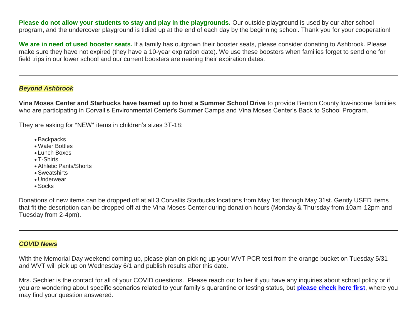**Please do not allow your students to stay and play in the playgrounds.** Our outside playground is used by our after school program, and the undercover playground is tidied up at the end of each day by the beginning school. Thank you for your cooperation!

**We are in need of used booster seats.** If a family has outgrown their booster seats, please consider donating to Ashbrook. Please make sure they have not expired (they have a 10-year expiration date). We use these boosters when families forget to send one for field trips in our lower school and our current boosters are nearing their expiration dates.

## *Beyond Ashbrook*

**Vina Moses Center and Starbucks have teamed up to host a Summer School Drive** to provide Benton County low-income families who are participating in Corvallis Environmental Center's Summer Camps and Vina Moses Center's Back to School Program.

They are asking for \*NEW\* items in children's sizes 3T-18:

- Backpacks
- Water Bottles
- Lunch Boxes
- T-Shirts
- Athletic Pants/Shorts
- Sweatshirts
- Underwear
- Socks

Donations of new items can be dropped off at all 3 Corvallis Starbucks locations from May 1st through May 31st. Gently USED items that fit the description can be dropped off at the Vina Moses Center during donation hours (Monday & Thursday from 10am-12pm and Tuesday from 2-4pm).

## *COVID News*

With the Memorial Day weekend coming up, please plan on picking up your WVT PCR test from the orange bucket on Tuesday 5/31 and WVT will pick up on Wednesday 6/1 and publish results after this date.

Mrs. Sechler is the contact for all of your COVID questions. Please reach out to her if you have any inquiries about school policy or if you are wondering about specific scenarios related to your family's quarantine or testing status, but **[please check here first](http://link.mystudentsprogress.com/ls/click?upn=n7jYKe39nC4PrVAw2BzaOolgU5XUleaJ61qfvNJxTW3uoi8RFzNYUfSc1qXdqajA34djZWrxIBJBxzp2whbybvqIYp3dDOkCDgKesziBdCnKtidG2crRPyCi11xmluZ9lzap-2BkWkoneE3-2Bm8GZuyGHM9qXQ4F7DaS9ifKLsHfIH4-2F1jM0HaaPGkD7OJWOXaSCrrgMSBu-2Bhbvj5sICzYQmA-3D-3DobeR_1PndbFfBoQGSZbxwXHHEexw3B2F0fG-2BUmuXm6a-2BX-2BztzRWinYGK2xaF9ROBgSWJWfreDQGxiyZ0h69di7Syj9Vu47i43ZZl8O0BFB9eaoNQxlrxEOM1OeH9Wf7FXBfV-2FFbFSM88Bb-2BH7RudCzzRfXU3AICBpX-2BE1wSvWjcJq49omW4AVfn1A254VVpEW-2FCYt-2FjVkU-2F28sFWMyBZdrpWKZGhbydwaWhQHP0EhXl-2BKlSS7dcBPQ-2B6qUZFzQqxSma-2FZIo4cGwZmZ9aLGYK2GHWp0kdWhVjM9FTjzBIVKBk7M6djfw7z5-2BMySavqWmJ8hRxy0W9Raj-2FJd2r9Od4VWOYyFwhiJ2pUnAapFEga7jaJrdj4ugXwwbBwLVHt5RfZKCe2oWa0lYtyr-2BbMj8wIH-2FbDpf6TackgTGRfDcsf409SnRplK0n7P51ZrSi476wSROp2)**, where you may find your question answered.